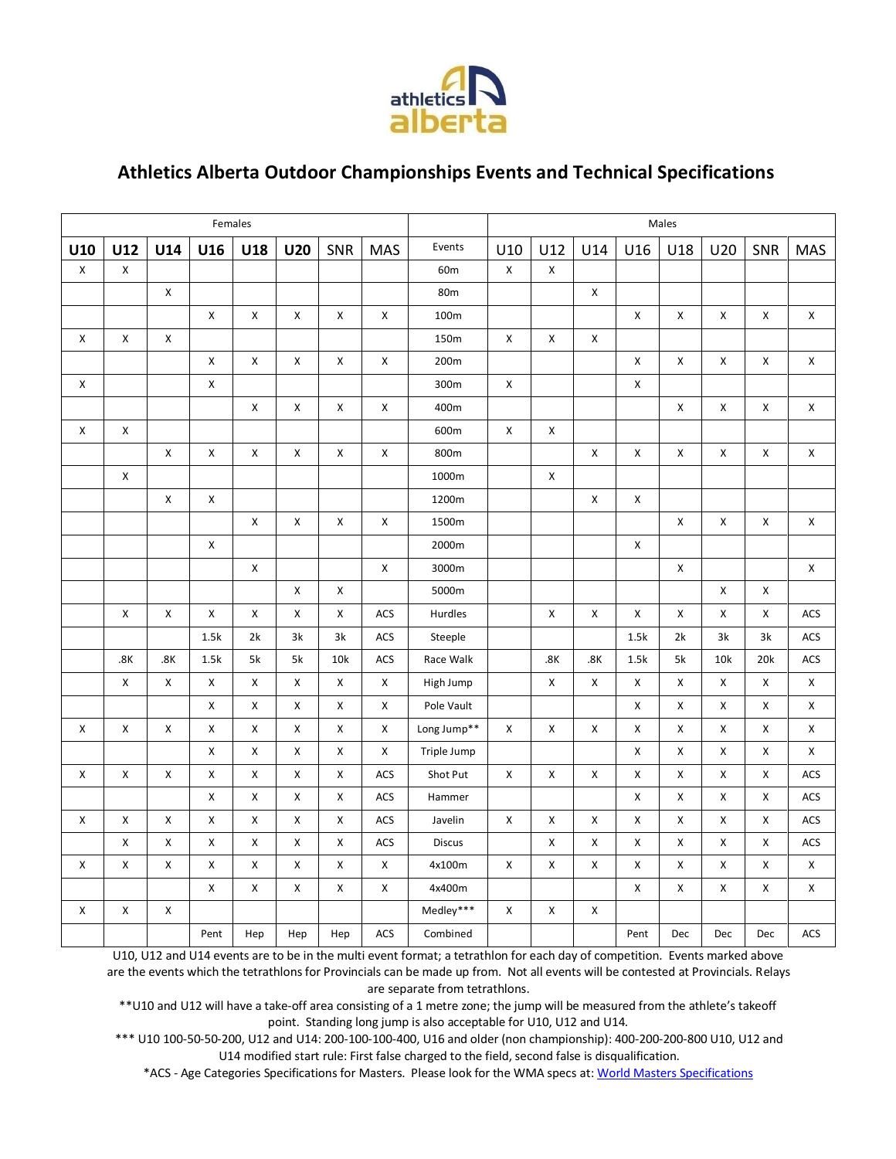

## **Athletics Alberta Outdoor Championships Events and Technical Specifications**

| Females            |             |                    |                    |                    |                    |                    |                    |                 | Males |                    |                    |                    |                    |                    |                    |                    |
|--------------------|-------------|--------------------|--------------------|--------------------|--------------------|--------------------|--------------------|-----------------|-------|--------------------|--------------------|--------------------|--------------------|--------------------|--------------------|--------------------|
| U10                | U12         | U14                | U16                | U18                | <b>U20</b>         | SNR                | <b>MAS</b>         | Events          | U10   | U12                | U14                | U16                | U18                | U20                | SNR                | MAS                |
| $\mathsf X$        | $\mathsf X$ |                    |                    |                    |                    |                    |                    | 60m             | X     | $\pmb{\mathsf{X}}$ |                    |                    |                    |                    |                    |                    |
|                    |             | $\mathsf X$        |                    |                    |                    |                    |                    | 80 <sub>m</sub> |       |                    | $\mathsf X$        |                    |                    |                    |                    |                    |
|                    |             |                    | $\mathsf X$        | X                  | X                  | X                  | X                  | 100m            |       |                    |                    | X                  | $\mathsf X$        | $\mathsf X$        | $\mathsf X$        | $\mathsf X$        |
| X                  | X           | $\pmb{\mathsf{X}}$ |                    |                    |                    |                    |                    | 150m            | X     | X                  | X                  |                    |                    |                    |                    |                    |
|                    |             |                    | $\mathsf X$        | Χ                  | $\pmb{\mathsf{X}}$ | X                  | $\pmb{\mathsf{X}}$ | 200m            |       |                    |                    | $\pmb{\mathsf{X}}$ | $\pmb{\mathsf{X}}$ | X                  | $\pmb{\mathsf{X}}$ | $\mathsf X$        |
| X                  |             |                    | $\pmb{\mathsf{X}}$ |                    |                    |                    |                    | 300m            | X     |                    |                    | $\pmb{\times}$     |                    |                    |                    |                    |
|                    |             |                    |                    | $\pmb{\mathsf{X}}$ | X                  | $\pmb{\mathsf{X}}$ | X                  | 400m            |       |                    |                    |                    | $\mathsf X$        | X                  | $\mathsf X$        | $\pmb{\mathsf{X}}$ |
| X                  | X           |                    |                    |                    |                    |                    |                    | 600m            | X     | X                  |                    |                    |                    |                    |                    |                    |
|                    |             | $\pmb{\chi}$       | $\mathsf X$        | X                  | X                  | X                  | X                  | 800m            |       |                    | $\pmb{\mathsf{X}}$ | $\pmb{\chi}$       | $\mathsf{X}$       | X                  | $\mathsf X$        | $\pmb{\times}$     |
|                    | X           |                    |                    |                    |                    |                    |                    | 1000m           |       | X                  |                    |                    |                    |                    |                    |                    |
|                    |             | $\mathsf X$        | $\mathsf X$        |                    |                    |                    |                    | 1200m           |       |                    | $\pmb{\mathsf{X}}$ | $\mathsf X$        |                    |                    |                    |                    |
|                    |             |                    |                    | X                  | X                  | X                  | X                  | 1500m           |       |                    |                    |                    | X                  | X                  | X                  | X                  |
|                    |             |                    | $\pmb{\mathsf{X}}$ |                    |                    |                    |                    | 2000m           |       |                    |                    | $\mathsf X$        |                    |                    |                    |                    |
|                    |             |                    |                    | X                  |                    |                    | X                  | 3000m           |       |                    |                    |                    | $\pmb{\mathsf{X}}$ |                    |                    | $\mathsf X$        |
|                    |             |                    |                    |                    | $\pmb{\mathsf{X}}$ | X                  |                    | 5000m           |       |                    |                    |                    |                    | Χ                  | $\mathsf X$        |                    |
|                    | $\mathsf X$ | $\pmb{\mathsf{X}}$ | $\mathsf X$        | X                  | X                  | X                  | ACS                | Hurdles         |       | $\pmb{\chi}$       | X                  | $\pmb{\times}$     | $\mathsf X$        | $\pmb{\mathsf{X}}$ | X                  | ACS                |
|                    |             |                    | 1.5k               | 2k                 | 3k                 | 3k                 | ACS                | Steeple         |       |                    |                    | 1.5k               | 2k                 | 3k                 | 3k                 | ACS                |
|                    | .8K         | .8K                | 1.5k               | 5k                 | 5k                 | 10k                | ACS                | Race Walk       |       | .8K                | .8K                | 1.5k               | 5k                 | 10k                | 20k                | ACS                |
|                    | X           | $\pmb{\mathsf{X}}$ | X                  | X                  | X                  | X                  | X                  | High Jump       |       | $\pmb{\times}$     | $\pmb{\mathsf{X}}$ | $\pmb{\times}$     | X                  | X                  | X                  | X                  |
|                    |             |                    | $\mathsf X$        | X                  | X                  | X                  | X                  | Pole Vault      |       |                    |                    | $\pmb{\chi}$       | X                  | Χ                  | X                  | $\mathsf X$        |
| $\pmb{\mathsf{X}}$ | X           | $\mathsf X$        | $\mathsf X$        | X                  | X                  | X                  | X                  | Long Jump**     | X     | $\pmb{\mathsf{X}}$ | $\mathsf X$        | $\mathsf X$        | $\mathsf X$        | $\mathsf X$        | X                  | $\pmb{\mathsf{X}}$ |
|                    |             |                    | Χ                  | X                  | X                  | X                  | X                  | Triple Jump     |       |                    |                    | $\pmb{\mathsf{X}}$ | X                  | X                  | X                  | X                  |
| X                  | X           | $\mathsf X$        | $\mathsf X$        | $\pmb{\mathsf{X}}$ | X                  | X                  | ACS                | Shot Put        | X     | X                  | $\mathsf X$        | $\pmb{\mathsf{X}}$ | X                  | X                  | X                  | ACS                |
|                    |             |                    | $\pmb{\times}$     | X                  | $\pmb{\mathsf{X}}$ | X                  | ACS                | Hammer          |       |                    |                    | $\mathsf X$        | $\pmb{\mathsf{X}}$ | X                  | X                  | ACS                |
| X                  | X           | $\pmb{\mathsf{X}}$ | $\pmb{\times}$     | X                  | X                  | X                  | ACS                | Javelin         | X     | X                  | $\pmb{\mathsf{X}}$ | X                  | X                  | X                  | X                  | ACS                |
|                    | X           | X                  | X                  | X                  | X                  | X                  | ACS                | <b>Discus</b>   |       | X                  | X                  | X                  | X                  | Χ                  | X                  | ACS                |
| X                  | X           | $\mathsf X$        | $\pmb{\mathsf{X}}$ | X                  | X                  | X                  | X                  | 4x100m          | X     | $\pmb{\times}$     | $\pmb{\mathsf{X}}$ | $\pmb{\mathsf{X}}$ | $\pmb{\mathsf{X}}$ | X                  | $\mathsf X$        | X                  |
|                    |             |                    | $\pmb{\mathsf{X}}$ | X                  | X                  | X                  | X                  | 4x400m          |       |                    |                    | $\pmb{\times}$     | $\mathsf{X}$       | $\mathsf X$        | X                  | $\pmb{\mathsf{X}}$ |
| X                  | $\mathsf X$ | $\mathsf X$        |                    |                    |                    |                    |                    | Medley***       | X     | $\pmb{\mathsf{X}}$ | X                  |                    |                    |                    |                    |                    |
|                    |             |                    | Pent               | Hep                | Hep                | Hep                | <b>ACS</b>         | Combined        |       |                    |                    | Pent               | Dec                | Dec                | Dec                | ACS                |

U10, U12 and U14 events are to be in the multi event format; a tetrathlon for each day of competition. Events marked above are the events which the tetrathlons for Provincials can be made up from. Not all events will be contested at Provincials. Relays are separate from tetrathlons.

\*\*U10 and U12 will have a take-off area consisting of a 1 metre zone; the jump will be measured from the athlete's takeoff point. Standing long jump is also acceptable for U10, U12 and U14.

\*\*\* U10 100-50-50-200, U12 and U14: 200-100-100-400, U16 and older (non championship): 400-200-200-800 U10, U12 and U14 modified start rule: First false charged to the field, second false is disqualification.

\*ACS - Age Categories Specifications for Masters. Please look for the WMA specs a[t: World Masters Specifications](http://www.world-masters-athletics.org/index.php?content=laws_rules/appendix&title=title/appendix&bild=laws_rules_balken.jpg)